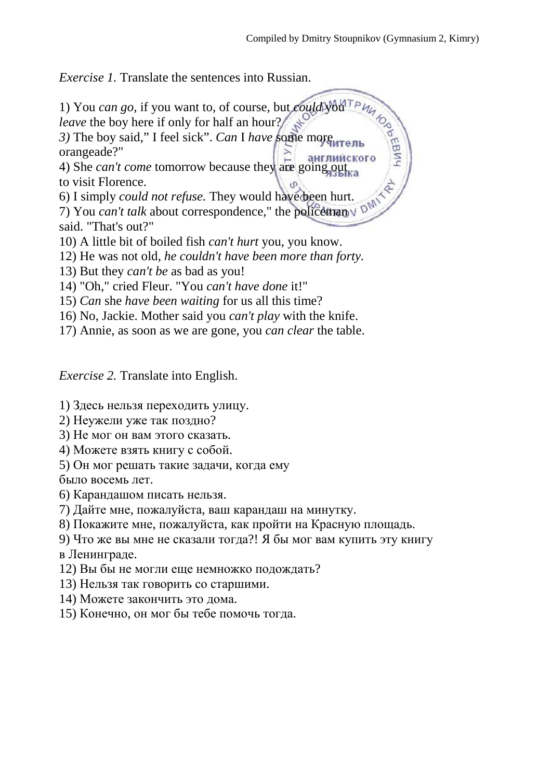*Exercise 1.* Translate the sentences into Russian.

- 1) You *can go*, if you want to, of course, but *could* you<sup>Tp</sup> *leave* the boy here if only for half an hour? *3)* The boy said," I feel sick". *Can* I *have* some more orangeade?" 4) She *can't come* tomorrow because they are going out to visit Florence. 6) I simply *could not refuse.* They would have been hurt. 7) You *can't talk* about correspondence," the policemany D<sup>M</sup> said. "That's out?" 10) A little bit of boiled fish *can't hurt* you, you know. 12) He was not old, *he couldn't have been more than forty.* 13) But they *can't be* as bad as you!
- 14) "Oh," cried Fleur. "You *can't have done* it!"
- 15) *Can* she *have been waiting* for us all this time?
- 16) No, Jackie. Mother said you *can't play* with the knife.
- 17) Annie, as soon as we are gone, you *can clear* the table.

*Exercise 2.* Translate into English.

1) Здесь нельзя переходить улицу.

- 2) Неужели уже так поздно?
- 3) Не мог он вам этого сказать.
- 4) Можете взять книгу с собой.
- 5) Он мог решать такие задачи, когда ему
- было восемь лет.
- 6) Карандашом писать нельзя.
- 7) Дайте мне, пожалуйста, ваш карандаш на минутку.
- 8) Покажите мне, пожалуйста, как пройти на Красную площадь.
- 9) Что же вы мне не сказали тогда?! Я бы мог вам купить эту книгу в Ленинграде.
- 12) Вы бы не могли еще немножко подождать?
- 13) Нельзя так говорить со старшими.
- 14) Можете закончить это дома.
- 15) Конечно, он мог бы тебе помочь тогда.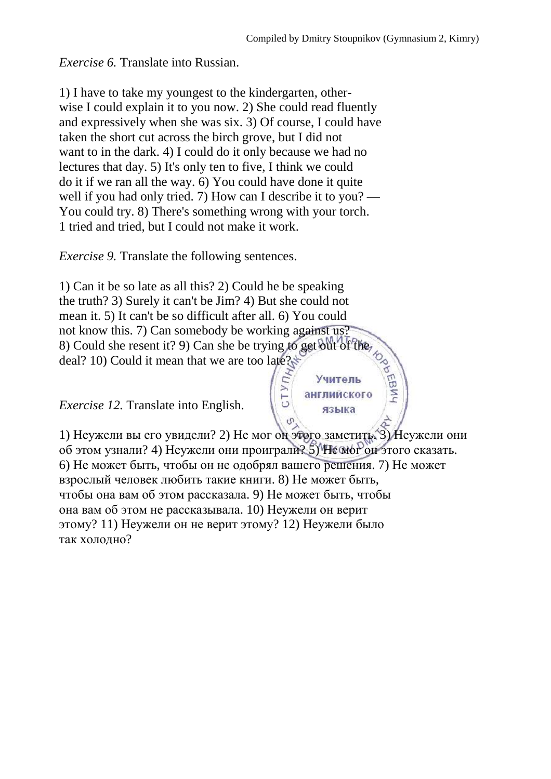Учитель английского языка

*Exercise 6.* Translate into Russian.

1) I have to take my youngest to the kindergarten, otherwise I could explain it to you now. 2) She could read fluently and expressively when she was six. 3) Of course, I could have taken the short cut across the birch grove, but I did not want to in the dark. 4) I could do it only because we had no lectures that day. 5) It's only ten to five, I think we could do it if we ran all the way. 6) You could have done it quite well if you had only tried. 7) How can I describe it to you? — You could try. 8) There's something wrong with your torch. 1 tried and tried, but I could not make it work.

*Exercise 9.* Translate the following sentences.

1) Can it be so late as all this? 2) Could he be speaking the truth? 3) Surely it can't be Jim? 4) But she could not mean it. 5) It can't be so difficult after all. 6) You could not know this. 7) Can somebody be working against us? 8) Could she resent it? 9) Can she be trying to get out of the deal? 10) Could it mean that we are too late?

*Exercise 12.* Translate into English.

1) Неужели вы его увидели? 2) Не мог он этого заметить. 3) Неужели они об этом узнали? 4) Неужели они проиграли? 5) Не мог он этого сказать. 6) Не может быть, чтобы он не одобрял вашего решения. 7) Не может взрослый человек любить такие книги. 8) Не может быть, чтобы она вам об этом рассказала. 9) Не может быть, чтобы она вам об этом не рассказывала. 10) Неужели он верит этому? 11) Неужели он не верит этому? 12) Неужели было так холодно?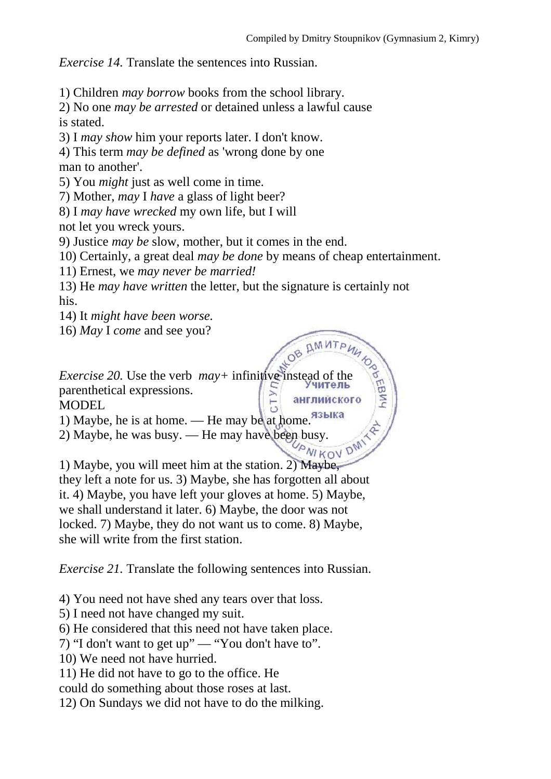*Exercise 14.* Translate the sentences into Russian.

1) Children *may borrow* books from the school library.

2) No one *may be arrested* or detained unless a lawful cause is stated.

3) I *may show* him your reports later. I don't know.

4) This term *may be defined* as 'wrong done by one man to another'.

5) You *might* just as well come in time.

7) Mother, *may* I *have* a glass of light beer?

8) I *may have wrecked* my own life, but I will

not let you wreck yours.

9) Justice *may be* slow, mother, but it comes in the end.

10) Certainly, a great deal *may be done* by means of cheap entertainment.

11) Ernest, we *may never be married!*

13) He *may have written* the letter, but the signature is certainly not his.

14) It *might have been worse.*

16) *May* I *come* and see you?

*Exercise 20.* Use the verb  $may+$  infinitive instead of the parenthetical expressions.  $C<sub>1</sub>$ английского MODEL

1) Maybe, he is at home. — Не may be at home. Языка

2) Maybe, he was busy. — He may have been busy.<br> $W_{\text{M} K\text{O}}$ 

1) Maybe, you will meet him at the station. 2) Maybe, they left a note for us. 3) Maybe, she has forgotten all about it. 4) Maybe, you have left your gloves at home. 5) Maybe, we shall understand it later. 6) Maybe, the door was not

locked. 7) Maybe, they do not want us to come. 8) Maybe, she will write from the first station.

*Exercise 21.* Translate the following sentences into Russian.

4) You need not have shed any tears over that loss.

5) I need not have changed my suit.

6) He considered that this need not have taken place.

7) "I don't want to get up" — "You don't have to".

10) We need not have hurried.

11) He did not have to go to the office. He

could do something about those roses at last.

12) On Sundays we did not have to do the milking.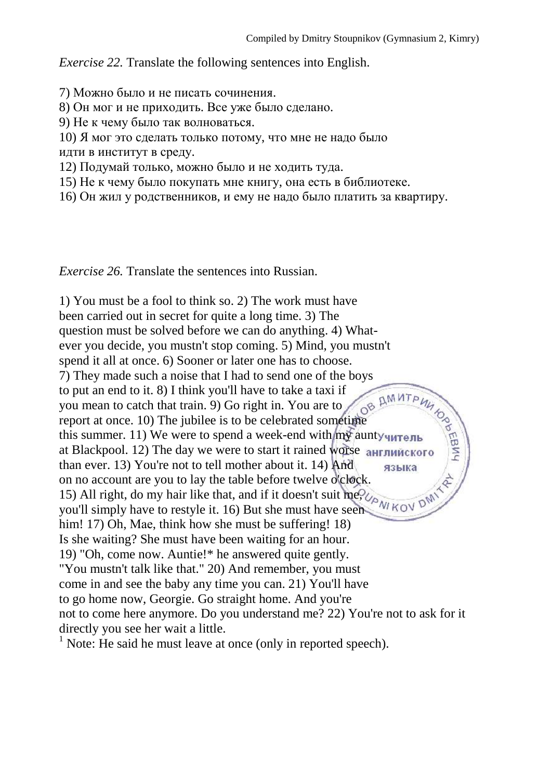*Exercise 22.* Translate the following sentences into English.

7) Можно было и не писать сочинения.

8) Он мог и не приходить. Все уже было сделано.

9) Не к чему было так волноваться.

10) Я мог это сделать только потому, что мне не надо было идти в институт в среду.

12) Подумай только, можно было и не ходить туда.

15) Не к чему было покупать мне книгу, она есть в библиотеке.

16) Он жил у родственников, и ему не надо было платить за квартиру.

*Exercise 26.* Translate the sentences into Russian.

1) You must be a fool to think so. 2) The work must have been carried out in secret for quite a long time. 3) The question must be solved before we can do anything. 4) Whatever you decide, you mustn't stop coming. 5) Mind, you mustn't spend it all at once. 6) Sooner or later one has to choose.<br>
7) They made such a noise that I had to send one of the boys<br>
to put an end to it. 8) I think you'll have to take a taxi if<br>
you mean to catch that train. 9) Go 7) They made such a noise that I had to send one of the boys to put an end to it. 8) I think you'll have to take a taxi if you mean to catch that train. 9) Go right in. You are to report at once. 10) The jubilee is to be celebrated sometime this summer. 11) We were to spend a week-end with  $m\bar{y}$  aunty  $\sqrt{m\bar{y}}$ at Blackpool. 12) The day we were to start it rained worse aнглийского than ever. 13) You're not to tell mother about it. 14) And языка on no account are you to lay the table before twelve o'clock. 15) All right, do my hair like that, and if it doesn't suit me, you'll simply have to restyle it. 16) But she must have seen him! 17) Oh, Mae, think how she must be suffering! 18) Is she waiting? She must have been waiting for an hour. 19) "Oh, come now. Auntie!\* he answered quite gently. "You mustn't talk like that." 20) And remember, you must come in and see the baby any time you can. 21) You'll have to go home now, Georgie. Go straight home. And you're not to come here anymore. Do you understand me? 22) You're not to ask for it directly you see her wait a little.

 $<sup>1</sup>$  Note: He said he must leave at once (only in reported speech).</sup>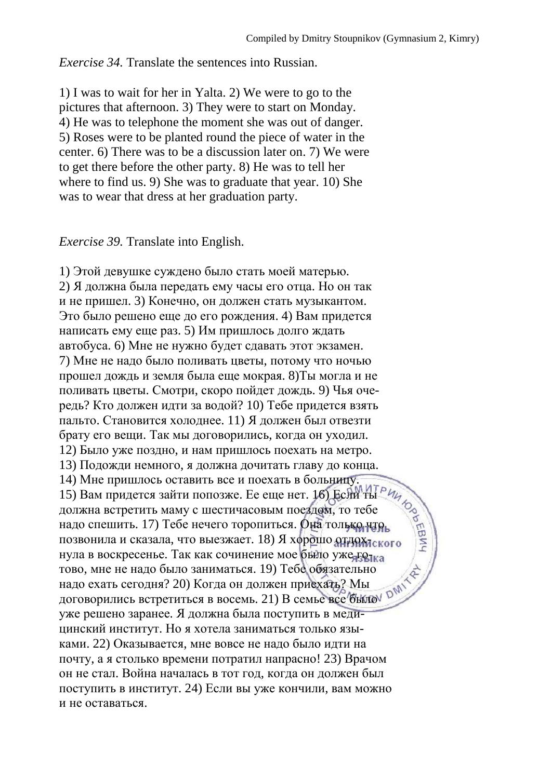*Exercise 34.* Translate the sentences into Russian.

1) I was to wait for her in Yalta. 2) We were to go to the pictures that afternoon. 3) They were to start on Monday. 4) He was to telephone the moment she was out of danger. 5) Roses were to be planted round the piece of water in the center. 6) There was to be a discussion later on. 7) We were to get there before the other party. 8) He was to tell her where to find us. 9) She was to graduate that year. 10) She was to wear that dress at her graduation party.

*Exercise 39.* Translate into English.

1) Этой девушке суждено было стать моей матерью. 2) Я должна была передать ему часы его отца. Но он так и не пришел. 3) Конечно, он должен стать музыкантом. Это было решено еще до его рождения. 4) Вам придется написать ему еще раз. 5) Им пришлось долго ждать автобуса. 6) Мне не нужно будет сдавать этот экзамен. 7) Мне не надо было поливать цветы, потому что ночью прошел дождь и земля была еще мокрая. 8)Ты могла и не поливать цветы. Смотри, скоро пойдет дождь. 9) Чья очередь? Кто должен идти за водой? 10) Тебе придется взять пальто. Становится холоднее. 11) Я должен был отвезти брату его вещи. Так мы договорились, когда он уходил. 12) Было уже поздно, и нам пришлось поехать на метро. 13) Подожди немного, я должна дочитать главу до конца.<br>14) Мне пришлось оставить все и поехать в больницу.<br>15) Вам придется зайти попозже. Ее еще нет. 16) Если ты рида.<br>должна встретить маму с шестичасовым поездом, то те 14) Мне пришлось оставить все и поехать в больницу. 15) Вам придется зайти попозже. Ее еще нет. 16) Если ты должна встретить маму с шестичасовым поездом, то тебе надо спешить. 17) Тебе нечего торопиться. Она только что позвонила и сказала, что выезжает. 18) Я хорошо отдохлекого нула в воскресенье. Так как сочинение мое было уже голка тово, мне не надо было заниматься. 19) Тебе обязательно надо ехать сегодня? 20) Когда он должен приехать? Мы договорились встретиться в восемь. 21) В семье все было уже решено заранее. Я должна была поступить в медицинский институт. Но я хотела заниматься только языками. 22) Оказывается, мне вовсе не надо было идти на почту, а я столько времени потратил напрасно! 23) Врачом он не стал. Война началась в тот год, когда он должен был поступить в институт. 24) Если вы уже кончили, вам можно и не оставаться.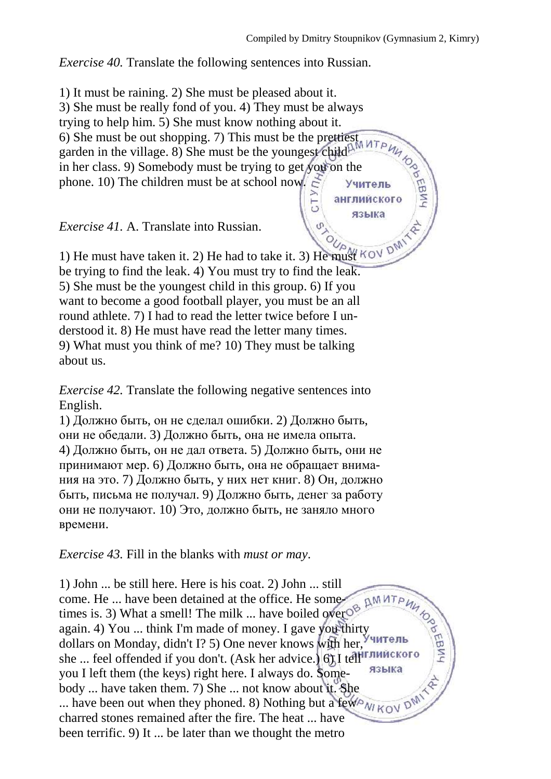английского языка

*Exercise 40.* Translate the following sentences into Russian.

1) It must be raining. 2) She must be pleased about it. 3) She must be really fond of you. 4) They must be always<br>trying to help him. 5) She must know nothing about it.<br>6) She must be out shopping. 7) This must be the prettiest<br>oarden in the village. 8) She must be the younges trying to help him. 5) She must know nothing about it. 6) She must be out shopping. 7) This must be the prettiest garden in the village. 8) She must be the youngest child in her class. 9) Somebody must be trying to get you on the phone. 10) The children must be at school now. Учитель

 $\overline{5}$ 

*Exercise 41.* A. Translate into Russian.

1) He must have taken it. 2) He had to take it. 3) He must be trying to find the leak. 4) You must try to find the leak. 5) She must be the youngest child in this group. 6) If you want to become a good football player, you must be an all round athlete. 7) I had to read the letter twice before I understood it. 8) He must have read the letter many times. 9) What must you think of me? 10) They must be talking about us.

*Exercise 42.* Translate the following negative sentences into English.

1) Должно быть, он не сделал ошибки. 2) Должно быть, они не обедали. 3) Должно быть, она не имела опыта. 4) Должно быть, он не дал ответа. 5) Должно быть, они не принимают мер. 6) Должно быть, она не обращает внимания на это. 7) Должно быть, у них нет книг. 8) Он, должно быть, письма не получал. 9) Должно быть, денег за работу они не получают. 10) Это, должно быть, не заняло много времени.

*Exercise 43.* Fill in the blanks with *must or may*.

1) John ... be still here. Here is his coat. 2) John ... still come. He ... have been detained at the office. He some-**AMMT** times is. 3) What a smell! The milk ... have boiled over  $O^8$ again. 4) You ... think I'm made of money. I gave you thirty dollars on Monday, didn't I? 5) One never knows with her, she ... feel offended if you don't. (Ask her advice.) 6) I tell *i* глийского языка you I left them (the keys) right here. I always do. Somebody ... have taken them. 7) She ... not know about it. She ... have been out when they phoned. 8) Nothing but a few charred stones remained after the fire. The heat ... have been terrific. 9) It ... be later than we thought the metro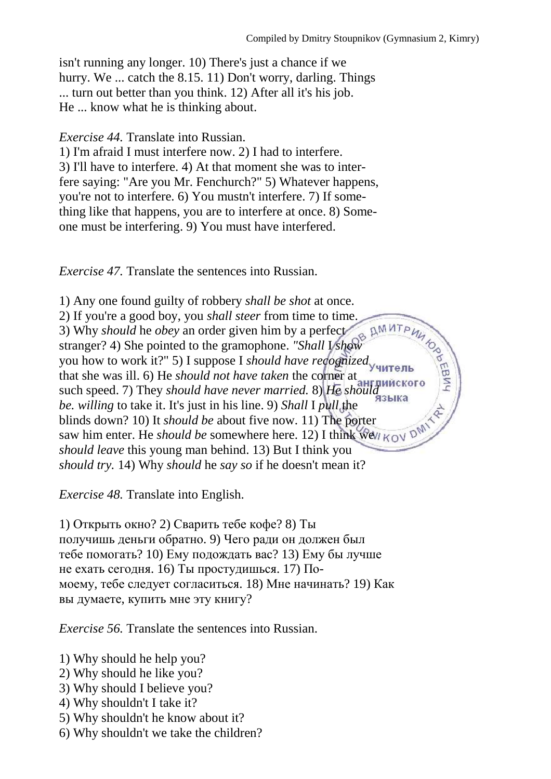isn't running any longer. 10) There's just a chance if we hurry. We ... catch the 8.15. 11) Don't worry, darling. Things ... turn out better than you think. 12) After all it's his job. He ... know what he is thinking about.

*Exercise 44.* Translate into Russian.

1) I'm afraid I must interfere now. 2) I had to interfere. 3) I'll have to interfere. 4) At that moment she was to interfere saying: "Are you Mr. Fenchurch?" 5) Whatever happens, you're not to interfere. 6) You mustn't interfere. 7) If something like that happens, you are to interfere at once. 8) Someone must be interfering. 9) You must have interfered.

*Exercise 47.* Translate the sentences into Russian.

1) Any one found guilty of robbery *shall be shot* at once. 2) If you're a good boy, you *shall steer* from time to time. 3) Why *should* he *obey* an order given him by a perfect **PODEBNA** stranger? 4) She pointed to the gramophone. *"Shall* I *show*  you how to work it?" 5) I suppose I *should have recognized*  that she was ill. 6) He *should not have taken* the corner at such speed. 7) They *should have never married.* 8) *He should be. willing* to take it. It's just in his line. 9) *Shall* I *pull* the blinds down? 10) It *should be* about five now. 11) The porter saw him enter. He *should be* somewhere here. 12) I think we *should leave* this young man behind. 13) But I think you *should try.* 14) Why *should* he *say so* if he doesn't mean it?

*Exercise 48.* Translate into English.

1) Открыть окно? 2) Сварить тебе кофе? 8) Ты получишь деньги обратно. 9) Чего ради он должен был тебе помогать? 10) Ему подождать вас? 13) Ему бы лучше не ехать сегодня. 16) Ты простудишься. 17) Помоему, тебе следует согласиться. 18) Мне начинать? 19) Как вы думаете, купить мне эту книгу?

*Exercise 56.* Translate the sentences into Russian.

- 1) Why should he help you?
- 2) Why should he like you?
- 3) Why should I believe you?
- 4) Why shouldn't I take it?
- 5) Why shouldn't he know about it?
- 6) Why shouldn't we take the children?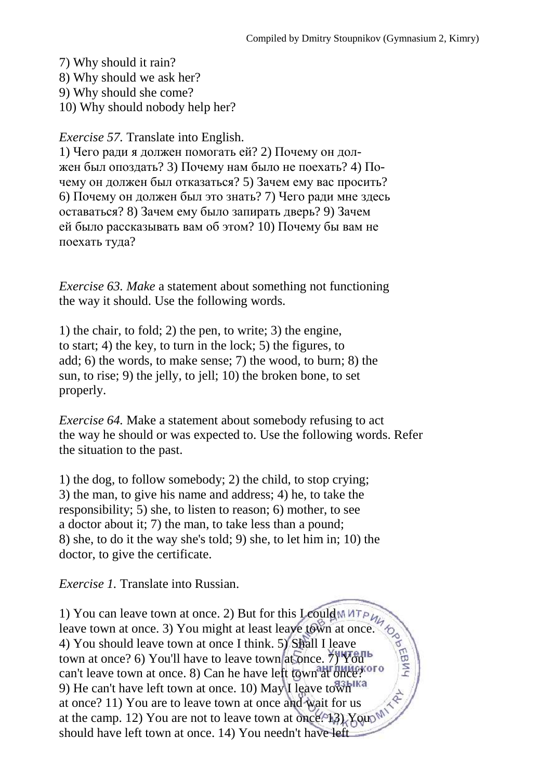7) Why should it rain?

8) Why should we ask her?

9) Why should she come?

10) Why should nobody help her?

*Exercise 57.* Translate into English.

1) Чего ради я должен помогать ей? 2) Почему он должен был опоздать? 3) Почему нам было не поехать? 4) Почему он должен был отказаться? 5) Зачем ему вас просить? 6) Почему он должен был это знать? 7) Чего ради мне здесь оставаться? 8) Зачем ему было запирать дверь? 9) Зачем ей было рассказывать вам об этом? 10) Почему бы вам не поехать туда?

*Exercise 63. Make* a statement about something not functioning the way it should. Use the following words.

1) the chair, to fold; 2) the pen, to write; 3) the engine, to start; 4) the key, to turn in the lock; 5) the figures, to add; 6) the words, to make sense; 7) the wood, to burn; 8) the sun, to rise; 9) the jelly, to jell; 10) the broken bone, to set properly.

*Exercise 64.* Make a statement about somebody refusing to act the way he should or was expected to. Use the following words. Refer the situation to the past.

1) the dog, to follow somebody; 2) the child, to stop crying; 3) the man, to give his name and address; 4) he, to take the responsibility; 5) she, to listen to reason; 6) mother, to see a doctor about it; 7) the man, to take less than a pound; 8) she, to do it the way she's told; 9) she, to let him in; 10) the doctor, to give the certificate.

*Exercise 1.* Translate into Russian.

1) You can leave town at once. 2) But for this I could leave town at once. 3) You might at least leave town at once. 4) You should leave town at once I think. 5) Shall I leave town at once? 6) You'll have to leave town at once. 7) You can't leave town at once. 8) Can he have left town at once? 9) He can't have left town at once. 10) May I leave town ka at once? 11) You are to leave town at once and wait for us at the camp. 12) You are not to leave town at once.  $13$ ) Yout should have left town at once. 14) You needn't have left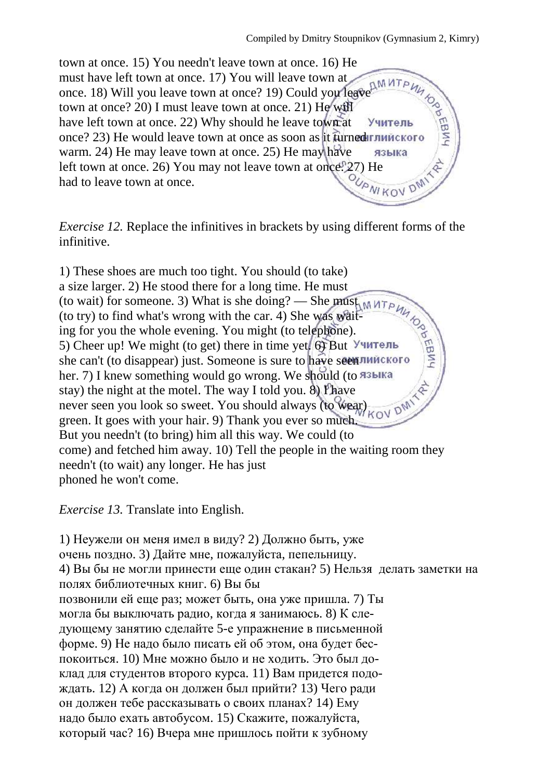town at once. 15) You needn't leave town at once. 16) He must have left town at once. 17) You will leave town at once. 18) Will you leave town at once? 19) Could you leave town at once? 20) I must leave town at once. 21) He will have left town at once. 22) Why should he leave town at once? 23) He would leave town at once as soon as it furned warm. 24) He may leave town at once. 25) He may have языка left town at once. 26) You may not leave town at once.<br>had to leave town at once. had to leave town at once.

*Exercise 12.* Replace the infinitives in brackets by using different forms of the infinitive.

1) These shoes are much too tight. You should (to take) a size larger. 2) He stood there for a long time. He must (to wait) for someone. 3) What is she doing? — She must (to try) to find what's wrong with the car. 4) She was waiting for you the whole evening. You might (to telephone). 5) Cheer up! We might (to get) there in time yet. 6) But she can't (to disappear) just. Someone is sure to have seen! her. 7) I knew something would go wrong. We should (to A3blKa stay) the night at the motel. The way I told you. 8) I have never seen you look so sweet. You should always (to wear)  $_{KOV}$  pM green. It goes with your hair. 9) Thank you ever so much. But you needn't (to bring) him all this way. We could (to come) and fetched him away. 10) Tell the people in the waiting room they needn't (to wait) any longer. He has just phoned he won't come.

*Exercise 13.* Translate into English.

1) Неужели он меня имел в виду? 2) Должно быть, уже очень поздно. 3) Дайте мне, пожалуйста, пепельницу. 4) Вы бы не могли принести еще один стакан? 5) Нельзя делать заметки на полях библиотечных книг. 6) Вы бы позвонили ей еще раз; может быть, она уже пришла. 7) Ты могла бы выключать радио, когда я занимаюсь. 8) К следующему занятию сделайте 5-е упражнение в письменной форме. 9) Не надо было писать ей об этом, она будет беспокоиться. 10) Мне можно было и не ходить. Это был доклад для студентов второго курса. 11) Вам придется подождать. 12) А когда он должен был прийти? 13) Чего ради он должен тебе рассказывать о своих планах? 14) Ему надо было ехать автобусом. 15) Скажите, пожалуйста, который час? 16) Вчера мне пришлось пойти к зубному